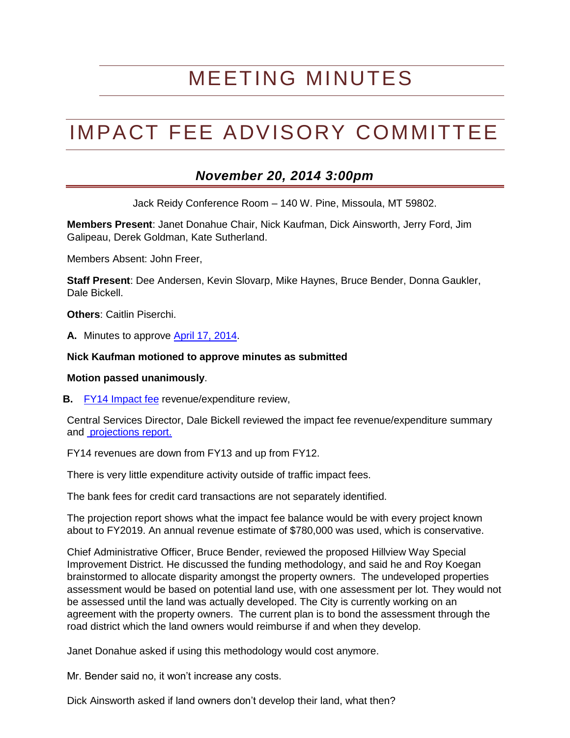## MEETING MINUTES

# IMPACT FEE ADVISORY COMMITTEE

### *November 20, 2014 3:00pm*

Jack Reidy Conference Room – 140 W. Pine, Missoula, MT 59802.

**Members Present**: Janet Donahue Chair, Nick Kaufman, Dick Ainsworth, Jerry Ford, Jim Galipeau, Derek Goldman, Kate Sutherland.

Members Absent: John Freer,

**Staff Present**: Dee Andersen, Kevin Slovarp, Mike Haynes, Bruce Bender, Donna Gaukler, Dale Bickell.

**Others**: Caitlin Piserchi.

**A.** Minutes to approve [April 17, 2014.](http://www.ci.missoula.mt.us/Archive.aspx?ADID=8428)

#### **Nick Kaufman motioned to approve minutes as submitted**

#### **Motion passed unanimously**.

**B.** [FY14 Impact fee](http://www.ci.missoula.mt.us/1828/FY2014-Impact-Fee-Reports) revenue/expenditure review,

Central Services Director, Dale Bickell reviewed the impact fee revenue/expenditure summary and [projections report.](http://www.ci.missoula.mt.us/DocumentCenter/View/27699)

FY14 revenues are down from FY13 and up from FY12.

There is very little expenditure activity outside of traffic impact fees.

The bank fees for credit card transactions are not separately identified.

The projection report shows what the impact fee balance would be with every project known about to FY2019. An annual revenue estimate of \$780,000 was used, which is conservative.

Chief Administrative Officer, Bruce Bender, reviewed the proposed Hillview Way Special Improvement District. He discussed the funding methodology, and said he and Roy Koegan brainstormed to allocate disparity amongst the property owners. The undeveloped properties assessment would be based on potential land use, with one assessment per lot. They would not be assessed until the land was actually developed. The City is currently working on an agreement with the property owners. The current plan is to bond the assessment through the road district which the land owners would reimburse if and when they develop.

Janet Donahue asked if using this methodology would cost anymore.

Mr. Bender said no, it won't increase any costs.

Dick Ainsworth asked if land owners don't develop their land, what then?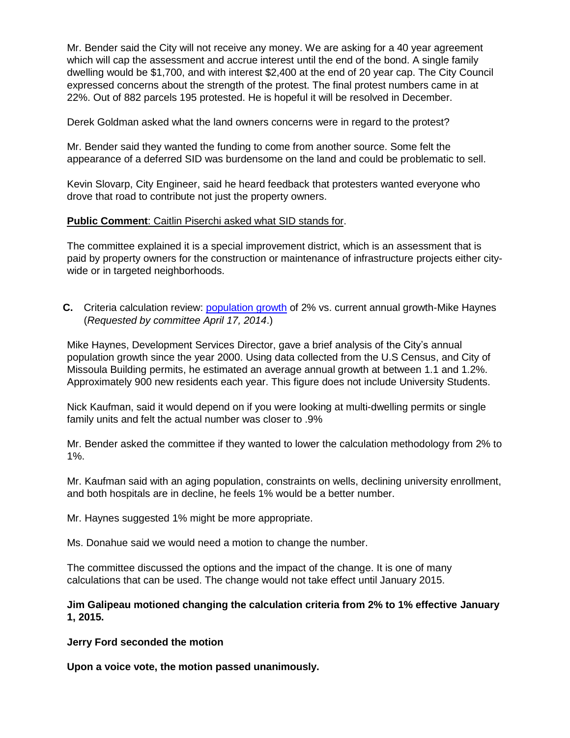Mr. Bender said the City will not receive any money. We are asking for a 40 year agreement which will cap the assessment and accrue interest until the end of the bond. A single family dwelling would be \$1,700, and with interest \$2,400 at the end of 20 year cap. The City Council expressed concerns about the strength of the protest. The final protest numbers came in at 22%. Out of 882 parcels 195 protested. He is hopeful it will be resolved in December.

Derek Goldman asked what the land owners concerns were in regard to the protest?

Mr. Bender said they wanted the funding to come from another source. Some felt the appearance of a deferred SID was burdensome on the land and could be problematic to sell.

Kevin Slovarp, City Engineer, said he heard feedback that protesters wanted everyone who drove that road to contribute not just the property owners.

#### **Public Comment**: Caitlin Piserchi asked what SID stands for.

The committee explained it is a special improvement district, which is an assessment that is paid by property owners for the construction or maintenance of infrastructure projects either citywide or in targeted neighborhoods.

**C.** Criteria calculation review: [population growth](http://www.ci.missoula.mt.us/DocumentCenter/View/27404) of 2% vs. current annual growth-Mike Haynes (*Requested by committee April 17, 2014*.)

Mike Haynes, Development Services Director, gave a brief analysis of the City's annual population growth since the year 2000. Using data collected from the U.S Census, and City of Missoula Building permits, he estimated an average annual growth at between 1.1 and 1.2%. Approximately 900 new residents each year. This figure does not include University Students.

Nick Kaufman, said it would depend on if you were looking at multi-dwelling permits or single family units and felt the actual number was closer to .9%

Mr. Bender asked the committee if they wanted to lower the calculation methodology from 2% to 1%.

Mr. Kaufman said with an aging population, constraints on wells, declining university enrollment, and both hospitals are in decline, he feels 1% would be a better number.

Mr. Haynes suggested 1% might be more appropriate.

Ms. Donahue said we would need a motion to change the number.

The committee discussed the options and the impact of the change. It is one of many calculations that can be used. The change would not take effect until January 2015.

**Jim Galipeau motioned changing the calculation criteria from 2% to 1% effective January 1, 2015.**

**Jerry Ford seconded the motion** 

**Upon a voice vote, the motion passed unanimously.**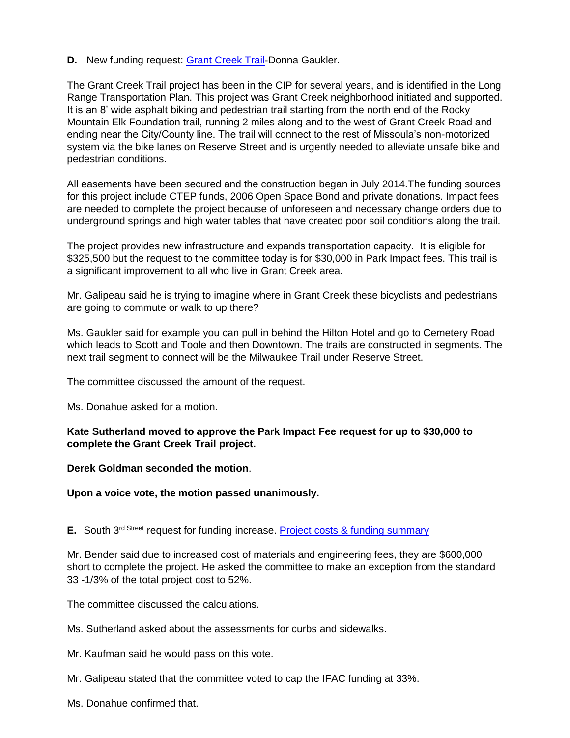**D.** New funding request: [Grant Creek Trail-](http://www.ci.missoula.mt.us/DocumentCenter/View/27406)Donna Gaukler.

The Grant Creek Trail project has been in the CIP for several years, and is identified in the Long Range Transportation Plan. This project was Grant Creek neighborhood initiated and supported. It is an 8' wide asphalt biking and pedestrian trail starting from the north end of the Rocky Mountain Elk Foundation trail, running 2 miles along and to the west of Grant Creek Road and ending near the City/County line. The trail will connect to the rest of Missoula's non-motorized system via the bike lanes on Reserve Street and is urgently needed to alleviate unsafe bike and pedestrian conditions.

All easements have been secured and the construction began in July 2014.The funding sources for this project include CTEP funds, 2006 Open Space Bond and private donations. Impact fees are needed to complete the project because of unforeseen and necessary change orders due to underground springs and high water tables that have created poor soil conditions along the trail.

The project provides new infrastructure and expands transportation capacity. It is eligible for \$325,500 but the request to the committee today is for \$30,000 in Park Impact fees. This trail is a significant improvement to all who live in Grant Creek area.

Mr. Galipeau said he is trying to imagine where in Grant Creek these bicyclists and pedestrians are going to commute or walk to up there?

Ms. Gaukler said for example you can pull in behind the Hilton Hotel and go to Cemetery Road which leads to Scott and Toole and then Downtown. The trails are constructed in segments. The next trail segment to connect will be the Milwaukee Trail under Reserve Street.

The committee discussed the amount of the request.

Ms. Donahue asked for a motion.

#### **Kate Sutherland moved to approve the Park Impact Fee request for up to \$30,000 to complete the Grant Creek Trail project.**

#### **Derek Goldman seconded the motion**.

#### **Upon a voice vote, the motion passed unanimously.**

#### **E.** South 3<sup>rd Street</sup> request for funding increase. [Project costs & funding summary](http://www.ci.missoula.mt.us/DocumentCenter/View/27700)

Mr. Bender said due to increased cost of materials and engineering fees, they are \$600,000 short to complete the project. He asked the committee to make an exception from the standard 33 -1/3% of the total project cost to 52%.

The committee discussed the calculations.

Ms. Sutherland asked about the assessments for curbs and sidewalks.

Mr. Kaufman said he would pass on this vote.

- Mr. Galipeau stated that the committee voted to cap the IFAC funding at 33%.
- Ms. Donahue confirmed that.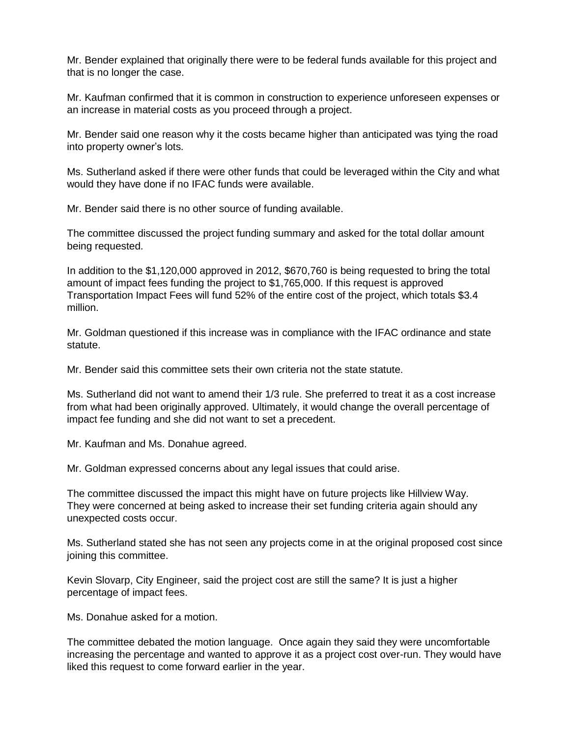Mr. Bender explained that originally there were to be federal funds available for this project and that is no longer the case.

Mr. Kaufman confirmed that it is common in construction to experience unforeseen expenses or an increase in material costs as you proceed through a project.

Mr. Bender said one reason why it the costs became higher than anticipated was tying the road into property owner's lots.

Ms. Sutherland asked if there were other funds that could be leveraged within the City and what would they have done if no IFAC funds were available.

Mr. Bender said there is no other source of funding available.

The committee discussed the project funding summary and asked for the total dollar amount being requested.

In addition to the \$1,120,000 approved in 2012, \$670,760 is being requested to bring the total amount of impact fees funding the project to \$1,765,000. If this request is approved Transportation Impact Fees will fund 52% of the entire cost of the project, which totals \$3.4 million.

Mr. Goldman questioned if this increase was in compliance with the IFAC ordinance and state statute.

Mr. Bender said this committee sets their own criteria not the state statute.

Ms. Sutherland did not want to amend their 1/3 rule. She preferred to treat it as a cost increase from what had been originally approved. Ultimately, it would change the overall percentage of impact fee funding and she did not want to set a precedent.

Mr. Kaufman and Ms. Donahue agreed.

Mr. Goldman expressed concerns about any legal issues that could arise.

The committee discussed the impact this might have on future projects like Hillview Way. They were concerned at being asked to increase their set funding criteria again should any unexpected costs occur.

Ms. Sutherland stated she has not seen any projects come in at the original proposed cost since joining this committee.

Kevin Slovarp, City Engineer, said the project cost are still the same? It is just a higher percentage of impact fees.

Ms. Donahue asked for a motion.

The committee debated the motion language. Once again they said they were uncomfortable increasing the percentage and wanted to approve it as a project cost over-run. They would have liked this request to come forward earlier in the year.